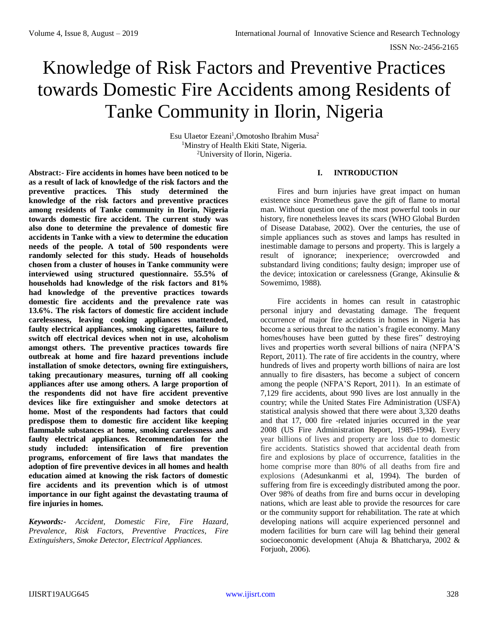# Knowledge of Risk Factors and Preventive Practices towards Domestic Fire Accidents among Residents of Tanke Community in Ilorin, Nigeria

Esu Ulaetor Ezeani<sup>1</sup>, Omotosho Ibrahim Musa<sup>2</sup> <sup>1</sup>Minstry of Health Ekiti State, Nigeria. <sup>2</sup>University of Ilorin, Nigeria.

**Abstract:- Fire accidents in homes have been noticed to be as a result of lack of knowledge of the risk factors and the preventive practices. This study determined the knowledge of the risk factors and preventive practices among residents of Tanke community in Ilorin, Nigeria towards domestic fire accident. The current study was also done to determine the prevalence of domestic fire accidents in Tanke with a view to determine the education needs of the people. A total of 500 respondents were randomly selected for this study. Heads of households chosen from a cluster of houses in Tanke community were interviewed using structured questionnaire. 55.5% of households had knowledge of the risk factors and 81% had knowledge of the preventive practices towards domestic fire accidents and the prevalence rate was 13.6%. The risk factors of domestic fire accident include carelessness, leaving cooking appliances unattended, faulty electrical appliances, smoking cigarettes, failure to switch off electrical devices when not in use, alcoholism amongst others. The preventive practices towards fire outbreak at home and fire hazard preventions include installation of smoke detectors, owning fire extinguishers, taking precautionary measures, turning off all cooking appliances after use among others. A large proportion of the respondents did not have fire accident preventive devices like fire extinguisher and smoke detectors at home. Most of the respondents had factors that could predispose them to domestic fire accident like keeping flammable substances at home, smoking carelessness and faulty electrical appliances. Recommendation for the study included: intensification of fire prevention programs, enforcement of fire laws that mandates the adoption of fire preventive devices in all homes and health education aimed at knowing the risk factors of domestic fire accidents and its prevention which is of utmost importance in our fight against the devastating trauma of fire injuries in homes.**

*Keywords:- Accident, Domestic Fire, Fire Hazard, Prevalence, Risk Factors, Preventive Practices, Fire Extinguishers, Smoke Detector, Electrical Appliances.*

## **I. INTRODUCTION**

Fires and burn injuries have great impact on human existence since Prometheus gave the gift of flame to mortal man. Without question one of the most powerful tools in our history, fire nonetheless leaves its scars (WHO Global Burden of Disease Database, 2002). Over the centuries, the use of simple appliances such as stoves and lamps has resulted in inestimable damage to persons and property. This is largely a result of ignorance; inexperience; overcrowded and substandard living conditions; faulty design; improper use of the device; intoxication or carelessness (Grange, Akinsulie & Sowemimo, 1988).

Fire accidents in homes can result in catastrophic personal injury and devastating damage. The frequent occurrence of major fire accidents in homes in Nigeria has become a serious threat to the nation's fragile economy. Many homes/houses have been gutted by these fires" destroying lives and properties worth several billions of naira (NFPA'S Report, 2011). The rate of fire accidents in the country, where hundreds of lives and property worth billions of naira are lost annually to fire disasters, has become a subject of concern among the people (NFPA'S Report, 2011). In an estimate of 7,129 fire accidents, about 990 lives are lost annually in the country; while the United States Fire Administration (USFA) statistical analysis showed that there were about 3,320 deaths and that 17, 000 fire -related injuries occurred in the year 2008 (US Fire Administration Report, 1985-1994). Every year billions of lives and property are loss due to domestic fire accidents. Statistics showed that accidental death from fire and explosions by place of occurrence, fatalities in the home comprise more than 80% of all deaths from fire and explosions (Adesunkanmi et al, 1994). The burden of suffering from fire is exceedingly distributed among the poor. Over 98% of deaths from fire and burns occur in developing nations, which are least able to provide the resources for care or the community support for rehabilitation. The rate at which developing nations will acquire experienced personnel and modern facilities for burn care will lag behind their general socioeconomic development (Ahuja & Bhattcharya, 2002 & Forjuoh, 2006).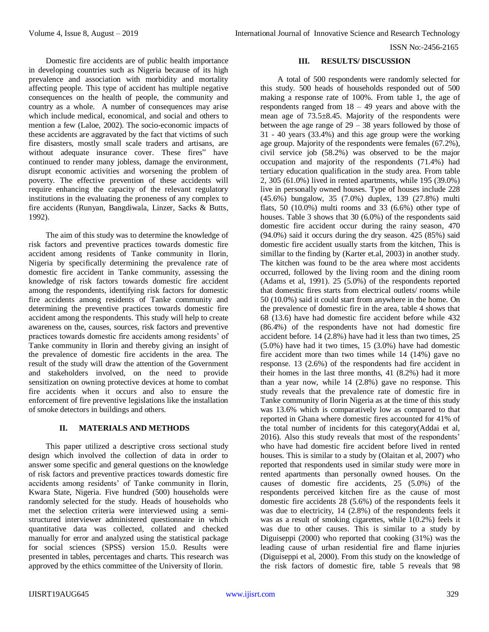Domestic fire accidents are of public health importance in developing countries such as Nigeria because of its high prevalence and association with morbidity and mortality affecting people. This type of accident has multiple negative consequences on the health of people, the community and country as a whole. A number of consequences may arise which include medical, economical, and social and others to mention a few (Laloe, 2002). The socio-economic impacts of these accidents are aggravated by the fact that victims of such fire disasters, mostly small scale traders and artisans, are without adequate insurance cover. These fires" have continued to render many jobless, damage the environment, disrupt economic activities and worsening the problem of poverty. The effective prevention of these accidents will require enhancing the capacity of the relevant regulatory institutions in the evaluating the proneness of any complex to fire accidents (Runyan, Bangdiwala, Linzer, Sacks & Butts, 1992).

The aim of this study was to determine the knowledge of risk factors and preventive practices towards domestic fire accident among residents of Tanke community in Ilorin, Nigeria by specifically determining the prevalence rate of domestic fire accident in Tanke community, assessing the knowledge of risk factors towards domestic fire accident among the respondents, identifying risk factors for domestic fire accidents among residents of Tanke community and determining the preventive practices towards domestic fire accident among the respondents. This study will help to create awareness on the, causes, sources, risk factors and preventive practices towards domestic fire accidents among residents' of Tanke community in Ilorin and thereby giving an insight of the prevalence of domestic fire accidents in the area. The result of the study will draw the attention of the Government and stakeholders involved, on the need to provide sensitization on owning protective devices at home to combat fire accidents when it occurs and also to ensure the enforcement of fire preventive legislations like the installation of smoke detectors in buildings and others.

## **II. MATERIALS AND METHODS**

This paper utilized a descriptive cross sectional study design which involved the collection of data in order to answer some specific and general questions on the knowledge of risk factors and preventive practices towards domestic fire accidents among residents' of Tanke community in Ilorin, Kwara State, Nigeria. Five hundred (500) households were randomly selected for the study. Heads of households who met the selection criteria were interviewed using a semistructured interviewer administered questionnaire in which quantitative data was collected, collated and checked manually for error and analyzed using the statistical package for social sciences (SPSS) version 15.0. Results were presented in tables, percentages and charts. This research was approved by the ethics committee of the University of Ilorin.

### **III. RESULTS/ DISCUSSION**

A total of 500 respondents were randomly selected for this study. 500 heads of households responded out of 500 making a response rate of 100%. From table 1, the age of respondents ranged from  $18 - 49$  years and above with the mean age of 73.5±8.45. Majority of the respondents were between the age range of  $29 - 38$  years followed by those of 31 - 40 years (33.4%) and this age group were the working age group. Majority of the respondents were females (67.2%), civil service job (58.2%) was observed to be the major occupation and majority of the respondents (71.4%) had tertiary education qualification in the study area. From table 2, 305 (61.0%) lived in rented apartments, while 195 (39.0%) live in personally owned houses. Type of houses include 228 (45.6%) bungalow, 35 (7.0%) duplex, 139 (27.8%) multi flats, 50  $(10.0\%)$  multi rooms and 33  $(6.6\%)$  other type of houses. Table 3 shows that 30 (6.0%) of the respondents said domestic fire accident occur during the rainy season, 470 (94.0%) said it occurs during the dry season. 425 (85%) said domestic fire accident usually starts from the kitchen, This is simillar to the finding by (Karter et.al, 2003) in another study. The kitchen was found to be the area where most accidents occurred, followed by the living room and the dining room (Adams et al, 1991). 25 (5.0%) of the respondents reported that domestic fires starts from electrical outlets/ rooms while 50 (10.0%) said it could start from anywhere in the home. On the prevalence of domestic fire in the area, table 4 shows that 68 (13.6) have had domestic fire accident before while 432 (86.4%) of the respondents have not had domestic fire accident before. 14 (2.8%) have had it less than two times, 25 (5.0%) have had it two times, 15 (3.0%) have had domestic fire accident more than two times while 14 (14%) gave no response. 13 (2.6%) of the respondents had fire accident in their homes in the last three months, 41 (8.2%) had it more than a year now, while 14 (2.8%) gave no response. This study reveals that the prevalence rate of domestic fire in Tanke community of Ilorin Nigeria as at the time of this study was 13.6% which is comparatively low as compared to that reported in Ghana where domestic fires accounted for 41% of the total number of incidents for this category(Addai et al, 2016). Also this study reveals that most of the respondents' who have had domestic fire accident before lived in rented houses. This is similar to a study by (Olaitan et al, 2007) who reported that respondents used in similar study were more in rented apartments than personally owned houses. On the causes of domestic fire accidents, 25 (5.0%) of the respondents perceived kitchen fire as the cause of most domestic fire accidents 28 (5.6%) of the respondents feels it was due to electricity, 14 (2.8%) of the respondents feels it was as a result of smoking cigarettes, while 1(0.2%) feels it was due to other causes. This is similar to a study by Diguiseppi (2000) who reported that cooking (31%) was the leading cause of urban residential fire and flame injuries (Diguiseppi et al, 2000). From this study on the knowledge of the risk factors of domestic fire, table 5 reveals that 98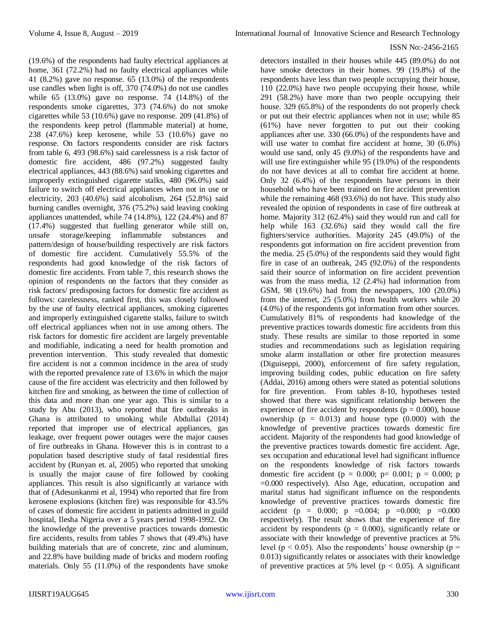### ISSN No:-2456-2165

(19.6%) of the respondents had faulty electrical appliances at home, 361 (72.2%) had no faulty electrical appliances while 41 (8.2%) gave no response. 65 (13.0%) of the respondents use candles when light is off, 370 (74.0%) do not use candles while 65 (13.0%) gave no response. 74 (14.8%) of the respondents smoke cigarettes, 373 (74.6%) do not smoke cigarettes while 53 (10.6%) gave no response. 209 (41.8%) of the respondents keep petrol (flammable material) at home, 238 (47.6%) keep kerosene, while 53 (10.6%) gave no response. On factors respondents consider are risk factors from table 6, 493 (98.6%) said carelessness is a risk factor of domestic fire accident, 486 (97.2%) suggested faulty electrical appliances, 443 (88.6%) said smoking cigarettes and improperly extinguished cigarette stalks, 480 (96.0%) said failure to switch off electrical appliances when not in use or electricity, 203 (40.6%) said alcoholism, 264 (52.8%) said burning candles overnight, 376 (75.2%) said leaving cooking appliances unattended, while 74 (14.8%), 122 (24.4%) and 87 (17.4%) suggested that fuelling generator while still on, unsafe storage/keeping inflammable substances and pattern/design of house/building respectively are risk factors of domestic fire accident. Cumulatively 55.5% of the respondents had good knowledge of the risk factors of domestic fire accidents. From table 7, this research shows the opinion of respondents on the factors that they consider as risk factors/ predisposing factors for domestic fire accident as follows: carelessness, ranked first, this was closely followed by the use of faulty electrical appliances, smoking cigarettes and improperly extinguished cigarette stalks, failure to switch off electrical appliances when not in use among others. The risk factors for domestic fire accident are largely preventable and modifiable, indicating a need for health promotion and prevention intervention. This study revealed that domestic fire accident is not a common incidence in the area of study with the reported prevalence rate of 13.6% in which the major cause of the fire accident was electricity and then followed by kitchen fire and smoking, as between the time of collection of this data and more than one year ago. This is similar to a study by Abu (2013), who reported that fire outbreaks in Ghana is attributed to smoking while Abdullai (2014) reported that improper use of electrical appliances, gas leakage, over frequent power outages were the major causes of fire outbreaks in Ghana. However this is in contrast to a population based descriptive study of fatal residential fires accident by (Runyan et. al, 2005) who reported that smoking is usually the major cause of fire followed by cooking appliances. This result is also significantly at variance with that of (Adesunkanmi et al, 1994) who reported that fire from kerosene explosions (kitchen fire) was responsible for 43.5% of cases of domestic fire accident in patients admitted in guild hospital, Ilesha Nigeria over a 5 years period 1998-1992. On the knowledge of the preventive practices towards domestic fire accidents, results from tables 7 shows that (49.4%) have building materials that are of concrete, zinc and aluminum, and 22.8% have building made of bricks and modern roofing materials. Only 55 (11.0%) of the respondents have smoke

detectors installed in their houses while 445 (89.0%) do not have smoke detectors in their homes. 99 (19.8%) of the respondents have less than two people occupying their house, 110 (22.0%) have two people occupying their house, while 291 (58.2%) have more than two people occupying their house. 329 (65.8%) of the respondents do not properly check or put out their electric appliances when not in use; while 85 (61%) have never forgotten to put out their cooking appliances after use. 330 (66.0%) of the respondents have and will use water to combat fire accident at home, 30 (6.0%) would use sand, only 45 (9.0%) of the respondents have and will use fire extinguisher while 95 (19.0%) of the respondents do not have devices at all to combat fire accident at home. Only 32 (6.4%) of the respondents have persons in their household who have been trained on fire accident prevention while the remaining 468 (93.6%) do not have. This study also revealed the opinion of respondents in case of fire outbreak at home. Majority 312 (62.4%) said they would run and call for help while 163 (32.6%) said they would call the fire fighters/service authorities. Majority 245 (49.0%) of the respondents got information on fire accident prevention from the media. 25 (5.0%) of the respondents said they would fight fire in case of an outbreak, 245 (92.0%) of the respondents said their source of information on fire accident prevention was from the mass media, 12 (2.4%) had information from GSM, 98 (19.6%) had from the newspapers, 100 (20.0%) from the internet, 25 (5.0%) from health workers while 20 (4.0%) of the respondents got information from other sources. Cumulatively 81% of respondents had knowledge of the preventive practices towards domestic fire accidents from this study. These results are similar to those reported in some studies and recommendations such as legislation requiring smoke alarm installation or other fire protection measures (Diguiseppi, 2000), enforcement of fire safety regulation, improving building codes, public education on fire safety (Addai, 2016) among others were stated as potential solutions for fire prevention. From tables 8-10, hypotheses tested showed that there was significant relationship between the experience of fire accident by respondents ( $p = 0.000$ ), house ownership  $(p = 0.013)$  and house type  $(0.000)$  with the knowledge of preventive practices towards domestic fire accident. Majority of the respondents had good knowledge of the preventive practices towards domestic fire accident. Age, sex occupation and educational level had significant influence on the respondents knowledge of risk factors towards domestic fire accident ( $p = 0.000$ ;  $p = 0.001$ ;  $p = 0.000$ ; p =0.000 respectively). Also Age, education, occupation and marital status had significant influence on the respondents knowledge of preventive practices towards domestic fire accident (p = 0.000; p = 0.004; p = 0.000; p = 0.000 respectively). The result shows that the experience of fire accident by respondents ( $p = 0.000$ ), significantly relate or associate with their knowledge of preventive practices at 5% level ( $p < 0.05$ ). Also the respondents' house ownership ( $p =$ 0.013) significantly relates or associates with their knowledge of preventive practices at 5% level ( $p < 0.05$ ). A significant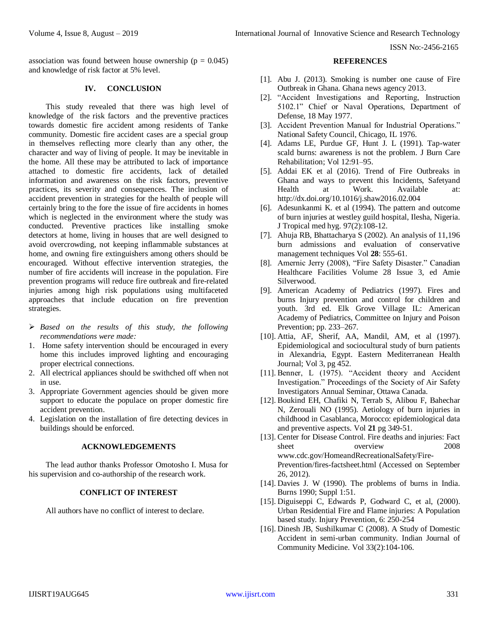association was found between house ownership ( $p = 0.045$ ) and knowledge of risk factor at 5% level.

### **IV. CONCLUSION**

This study revealed that there was high level of knowledge of the risk factors and the preventive practices towards domestic fire accident among residents of Tanke community. Domestic fire accident cases are a special group in themselves reflecting more clearly than any other, the character and way of living of people. It may be inevitable in the home. All these may be attributed to lack of importance attached to domestic fire accidents, lack of detailed information and awareness on the risk factors, preventive practices, its severity and consequences. The inclusion of accident prevention in strategies for the health of people will certainly bring to the fore the issue of fire accidents in homes which is neglected in the environment where the study was conducted. Preventive practices like installing smoke detectors at home, living in houses that are well designed to avoid overcrowding, not keeping inflammable substances at home, and owning fire extinguishers among others should be encouraged. Without effective intervention strategies, the number of fire accidents will increase in the population. Fire prevention programs will reduce fire outbreak and fire-related injuries among high risk populations using multifaceted approaches that include education on fire prevention strategies.

- *Based on the results of this study, the following recommendations were made:*
- 1. Home safety intervention should be encouraged in every home this includes improved lighting and encouraging proper electrical connections.
- 2. All electrical appliances should be swithched off when not in use.
- 3. Appropriate Government agencies should be given more support to educate the populace on proper domestic fire accident prevention.
- 4. Legislation on the installation of fire detecting devices in buildings should be enforced.

## **ACKNOWLEDGEMENTS**

The lead author thanks Professor Omotosho I. Musa for his supervision and co-authorship of the research work.

## **CONFLICT OF INTEREST**

All authors have no conflict of interest to declare.

#### **REFERENCES**

- [1]. Abu J. (2013). Smoking is number one cause of Fire Outbreak in Ghana. Ghana news agency 2013.
- [2]. "Accident Investigations and Reporting, Instruction 5102.1" Chief or Naval Operations, Department of Defense, 18 May 1977.
- [3]. Accident Prevention Manual for Industrial Operations." National Safety Council, Chicago, IL 1976.
- [4]. Adams LE, Purdue GF, Hunt J. L (1991). Tap-water scald burns: awareness is not the problem. J Burn Care Rehabilitation; Vol 12:91–95.
- [5]. Addai EK et al (2016). Trend of Fire Outbreaks in Ghana and ways to prevent this Incidents, Safetyand Health at Work. Available at: http://dx.doi.org/10.1016/j.shaw2016.02.004
- [6]. Adesunkanmi K. et al (1994). The pattern and outcome of burn injuries at westley guild hospital, Ilesha, Nigeria. J Tropical med hyg. 97(2):108-12.
- [7]. Ahuja RB, Bhattacharya S (2002). An analysis of 11,196 burn admissions and evaluation of conservative management techniques Vol **28**: 555-61.
- [8]. Amernic Jerry (2008), "Fire Safety Disaster." Canadian Healthcare Facilities Volume 28 Issue 3, ed Amie Silverwood.
- [9]. American Academy of Pediatrics (1997). Fires and burns Injury prevention and control for children and youth. 3rd ed. Elk Grove Village IL: American Academy of Pediatrics, Committee on Injury and Poison Prevention; pp. 233–267.
- [10]. Attia, AF, Sherif, AA, Mandil, AM, et al (1997). Epidemiological and sociocultural study of burn patients in Alexandria, Egypt. Eastern Mediterranean Health Journal; Vol 3, pg 452.
- [11]. Benner, L (1975). "Accident theory and Accident Investigation." Proceedings of the Society of Air Safety Investigators Annual Seminar, Ottawa Canada.
- [12]. Boukind EH, Chafiki N, Terrab S, Alibou F, Bahechar N, Zerouali NO (1995). Aetiology of burn injuries in childhood in Casablanca, Morocco: epidemiological data and preventive aspects. Vol **21** pg 349-51.
- [13]. Center for Disease Control. Fire deaths and injuries: Fact sheet overview 2008 www.cdc.gov/HomeandRecreationalSafety/Fire-Prevention/fires-factsheet.html (Accessed on September 26, 2012).
- [14]. Davies J. W (1990). The problems of burns in India. Burns 1990; Suppl 1:51.
- [15]. Diguiseppi C, Edwards P, Godward C, et al, (2000). Urban Residential Fire and Flame injuries: A Population based study. Injury Prevention, 6: 250-254
- [16]. Dinesh JB, Sushilkumar C (2008). A Study of Domestic Accident in semi-urban community. Indian Journal of Community Medicine. Vol 33(2):104-106.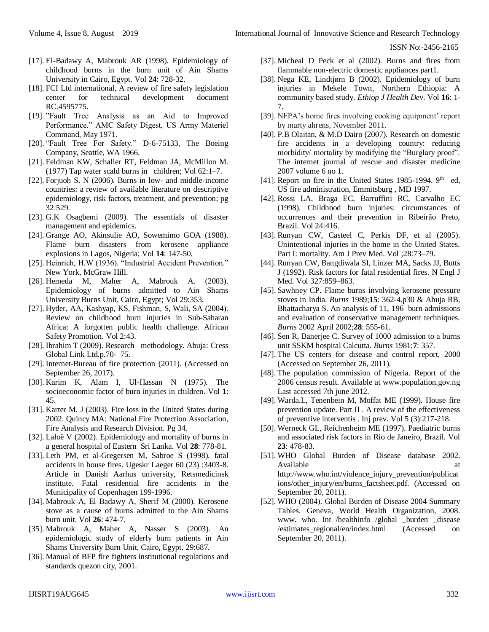ISSN No:-2456-2165

- [17]. El-Badawy A, Mabrouk AR (1998). Epidemiology of childhood burns in the burn unit of Ain Shams University in Cairo, Egypt. Vol **24**: 728-32.
- [18]. FCI Ltd international, A review of fire safety legislation center for technical development document RC.4595775.
- [19]. "Fault Tree Analysis as an Aid to Improved Performance." AMC Safety Digest, US Army Materiel Command, May 1971.
- [20]. "Fault Tree For Safety." D-6-75133, The Boeing Company, Seattle, WA 1966.
- [21]. Feldman KW, Schaller RT, Feldman JA, McMillon M. (1977) Tap water scald burns in children; Vol 62:1–7.
- [22]. Forjuoh S. N (2006). Burns in low- and middle-income countries: a review of available literature on descriptive epidemiology, risk factors, treatment, and prevention; pg 32:529.
- [23]. G.K Osagbemi (2009). The essentials of disaster management and epidemics.
- [24]. Grange AO, Akinsulie AO, Sowemimo GOA (1988). Flame burn disasters from kerosene appliance explosions in Lagos, Nigeria; Vol **14**: 147-50.
- [25]. Heinrich, H.W (1936). "Industrial Accident Prevention." New York, McGraw Hill.
- [26]. Hemeda M, Maher A, Mabrouk A. (2003). Epidemiology of burns admitted to Ain Shams University Burns Unit, Cairo, Egypt; Vol 29:353.
- [27]. Hyder, AA, Kashyap, KS, Fishman, S, Wali, SA (2004). Review on childhood burn injuries in Sub-Saharan Africa: A forgotten public health challenge. African Safety Promotion. Vol 2:43.
- [28]. Ibrahim T (2009). Research methodology. Abuja: Cress Global Link Ltd.p.70- 75.
- [29]. Internet-Bureau of fire protection (2011). (Accessed on September 26, 2017).
- [30]. Karim K, Alam I, Ul-Hassan N (1975). The socioeconomic factor of burn injuries in children. Vol **1**: 45.
- [31]. Karter M. J (2003). Fire loss in the United States during 2002. Quincy MA: National Fire Protection Association, Fire Analysis and Research Division. Pg 34.
- [32]. Laloë V (2002). Epidemiology and mortality of burns in a general hospital of Eastern Sri Lanka. Vol **28**: 778-81.
- [33]. Leth PM, et al-Gregersen M, Sabroe S (1998). fatal accidents in house fires. Ugeskr Laeger 60 (23) :3403-8. Article in Danish Aarhus university, Retsmedicinsk institute. Fatal residential fire accidents in the Municipality of Copenhagen 199-1996.
- [34]. Mabrouk A, El Badawy A, Sherif M (2000). Kerosene stove as a cause of burns admitted to the Ain Shams burn unit. Vol **26**: 474-7.
- [35]. Mabrouk A, Maher A, Nasser S (2003). An epidemiologic study of elderly burn patients in Ain Shams University Burn Unit, Cairo, Egypt. 29:687.
- [36]. Manual of BFP fire fighters institutional regulations and standards quezon city, 2001.
- [37]. Micheal D Peck et al (2002). Burns and fires from flammable non-electric domestic appliances part1.
- [38]. Nega KE, Lindtjørn B (2002). Epidemiology of burn injuries in Mekele Town, Northern Ethiopia: A community based study. *Ethiop J Health Dev*. Vol **16**: 1- 7.
- [39]. NFPA's home fires involving cooking equipment' report by marty ahrens, November 2011.
- [40]. P.B Olaitan, & M.D Dairo (2007). Research on domestic fire accidents in a developing country: reducing morbidity/ mortality by modifying the "Burglary proof". The internet journal of rescue and disaster medicine 2007 volume 6 no 1.
- [41]. Report on fire in the United States 1985-1994. 9<sup>th</sup> ed, US fire administration, Emmitsburg , MD 1997.
- [42]. Rossi LA, Braga EC, Barruffini RC, Carvalho EC (1998). Childhood burn injuries: circumstances of occurrences and their prevention in Ribeirão Preto, Brazil. Vol 24:416.
- [43]. Runyan CW, Casteel C, Perkis DF, et al (2005). Unintentional injuries in the home in the United States. Part I: mortality. Am J Prev Med. Vol ; 28:73-79.
- [44]. Runyan CW, Bangdiwala SI, Linzer MA, Sacks JJ, Butts J (1992). Risk factors for fatal residential fires. N Engl J Med. Vol 327:859–863.
- [45]. Sawhney CP. Flame burns involving kerosene pressure stoves in India. *Burns* 1989;**15**: 362-4.p30 & Ahuja RB, Bhattacharya S. An analysis of 11, 196 burn admissions and evaluation of conservative management techniques. *Burns* 2002 April 2002;**28**: 555-61.
- [46]. Sen R, Banerjee C. Survey of 1000 admission to a burns unit SSKM hospital Calcutta. *Burns* 1981;**7**: 357.
- [47]. The US centers for disease and control report, 2000 (Accessed on September 26, 2011).
- [48]. The population commission of Nigeria. Report of the 2006 census result. Available at www.population.gov.ng Last accessed 7th june 2012.
- [49]. Warda.L, Tenenbein M, Moffat ME (1999). House fire prevention update. Part II . A review of the effectiveness of preventive interventis . Inj prev. Vol 5 (3):217-218.
- [50]. Werneck GL, Reichenheim ME (1997). Paediatric burns and associated risk factors in Rio de Janeiro, Brazil. Vol **23**: 478-83.
- [51]. WHO Global Burden of Disease database 2002. Available at a state of  $\alpha$  at a state of  $\alpha$  at a state of  $\alpha$  at a state of  $\alpha$  at a state of  $\alpha$  at a state of  $\alpha$  at a state of  $\alpha$  at a state of  $\alpha$  at a state of  $\alpha$  at a state of  $\alpha$  at a state of  $\alpha$  at http://www.who.int/violence\_injury\_prevention/publicat ions/other\_injury/en/burns\_factsheet.pdf. (Accessed on September 20, 2011).
- [52]. WHO (2004). Global Burden of Disease 2004 Summary Tables. Geneva, World Health Organization, 2008. www. who. Int /healthinfo /global \_burden \_disease /estimates\_regional/en/index.html (Accessed on September 20, 2011).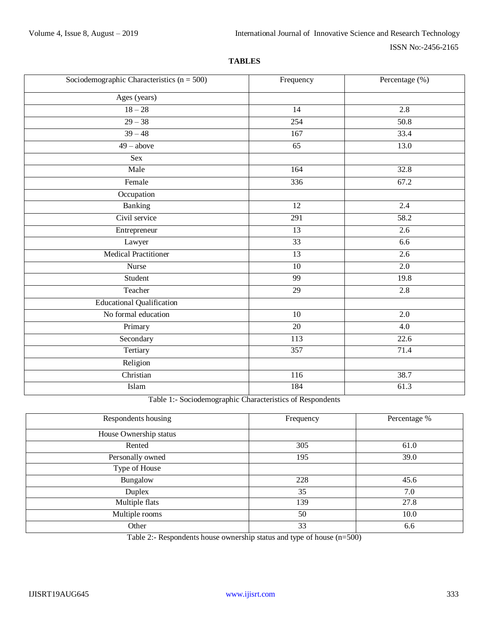## **TABLES**

| Sociodemographic Characteristics $(n = 500)$ | Frequency        | Percentage (%)    |
|----------------------------------------------|------------------|-------------------|
| Ages (years)                                 |                  |                   |
| $18 - 28$                                    | $\overline{14}$  | $\overline{2.8}$  |
| $29 - 38$                                    | 254              | $\overline{50.8}$ |
| $39 - 48$                                    | 167              | 33.4              |
| $49 - above$                                 | 65               | 13.0              |
| Sex                                          |                  |                   |
| Male                                         | 164              | 32.8              |
| Female                                       | 336              | 67.2              |
| Occupation                                   |                  |                   |
| <b>Banking</b>                               | 12               | 2.4               |
| Civil service                                | 291              | 58.2              |
| Entrepreneur                                 | 13               | 2.6               |
| Lawyer                                       | 33               | 6.6               |
| <b>Medical Practitioner</b>                  | 13               | 2.6               |
| Nurse                                        | 10               | 2.0               |
| Student                                      | $\overline{99}$  | 19.8              |
| Teacher                                      | $\overline{29}$  | 2.8               |
| <b>Educational Qualification</b>             |                  |                   |
| No formal education                          | $\overline{10}$  | $\overline{2.0}$  |
| Primary                                      | 20               | $\overline{4.0}$  |
| Secondary                                    | $\overline{113}$ | 22.6              |
| Tertiary                                     | 357              | 71.4              |
| Religion                                     |                  |                   |
| Christian                                    | 116              | 38.7              |
| Islam                                        | 184              | 61.3              |

Table 1:- Sociodemographic Characteristics of Respondents

| Respondents housing    | Frequency | Percentage % |
|------------------------|-----------|--------------|
| House Ownership status |           |              |
| Rented                 | 305       | 61.0         |
| Personally owned       | 195       | 39.0         |
| Type of House          |           |              |
| Bungalow               | 228       | 45.6         |
| Duplex                 | 35        | 7.0          |
| Multiple flats         | 139       | 27.8         |
| Multiple rooms         | 50        | 10.0         |
| Other                  | 33        | 6.6          |

Table 2:- Respondents house ownership status and type of house (n=500)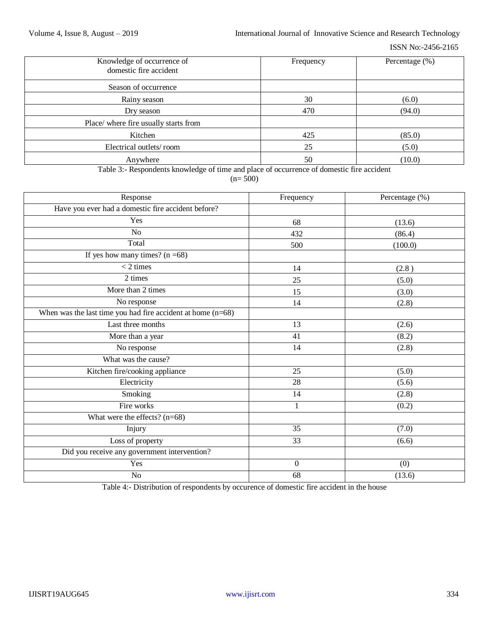| Knowledge of occurrence of<br>domestic fire accident | Frequency | Percentage (%) |
|------------------------------------------------------|-----------|----------------|
| Season of occurrence                                 |           |                |
| Rainy season                                         | 30        | (6.0)          |
| Dry season                                           | 470       | (94.0)         |
| Place/ where fire usually starts from                |           |                |
| Kitchen                                              | 425       | (85.0)         |
| Electrical outlets/room                              | 25        | (5.0)          |
| Anywhere                                             | 50        | (10.0)         |

Table 3:- Respondents knowledge of time and place of occurrence of domestic fire accident

 $(n= 500)$ 

| Response                                                      | Frequency        | Percentage (%) |
|---------------------------------------------------------------|------------------|----------------|
| Have you ever had a domestic fire accident before?            |                  |                |
| Yes                                                           | 68               | (13.6)         |
| N <sub>o</sub>                                                | 432              | (86.4)         |
| Total                                                         | 500              | (100.0)        |
| If yes how many times? $(n = 68)$                             |                  |                |
| $<$ 2 times                                                   | 14               | (2.8)          |
| 2 times                                                       | 25               | (5.0)          |
| More than 2 times                                             | 15               | (3.0)          |
| No response                                                   | 14               | (2.8)          |
| When was the last time you had fire accident at home $(n=68)$ |                  |                |
| Last three months                                             | 13               | (2.6)          |
| More than a year                                              | 41               | (8.2)          |
| No response                                                   | 14               | (2.8)          |
| What was the cause?                                           |                  |                |
| Kitchen fire/cooking appliance                                | 25               | (5.0)          |
| Electricity                                                   | 28               | (5.6)          |
| Smoking                                                       | 14               | (2.8)          |
| Fire works                                                    | $\mathbf{1}$     | (0.2)          |
| What were the effects? $(n=68)$                               |                  |                |
| Injury                                                        | 35               | (7.0)          |
| Loss of property                                              | 33               | (6.6)          |
| Did you receive any government intervention?                  |                  |                |
| Yes                                                           | $\boldsymbol{0}$ | (0)            |
| N <sub>o</sub>                                                | 68               | (13.6)         |

Table 4:- Distribution of respondents by occurence of domestic fire accident in the house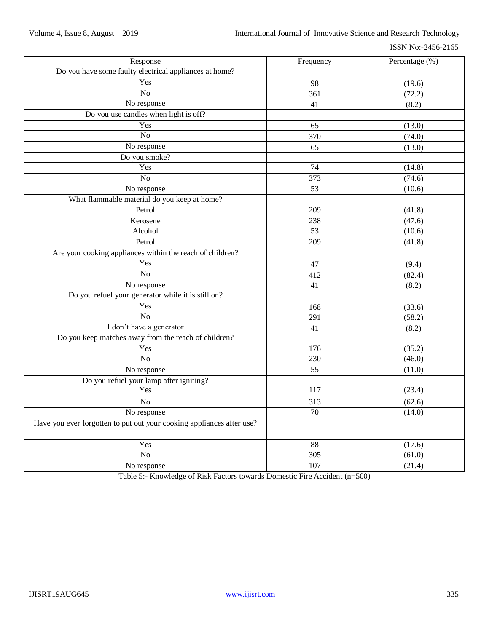ISSN No:-2456-2165

| Response                                                              | Frequency        | Percentage (%) |
|-----------------------------------------------------------------------|------------------|----------------|
| Do you have some faulty electrical appliances at home?                |                  |                |
| Yes                                                                   | 98               | (19.6)         |
| $\overline{No}$                                                       | 361              | (72.2)         |
| No response                                                           | 41               | (8.2)          |
| Do you use candles when light is off?                                 |                  |                |
| Yes                                                                   | 65               | (13.0)         |
| $\overline{No}$                                                       | 370              | (74.0)         |
| No response                                                           | 65               | (13.0)         |
| Do you smoke?                                                         |                  |                |
| Yes                                                                   | $\overline{74}$  | (14.8)         |
| $\overline{No}$                                                       | $\overline{373}$ | (74.6)         |
| No response                                                           | 53               | (10.6)         |
| What flammable material do you keep at home?                          |                  |                |
| Petrol                                                                | $\overline{209}$ | (41.8)         |
| Kerosene                                                              | 238              | (47.6)         |
| Alcohol                                                               | 53               | (10.6)         |
| Petrol                                                                | 209              | (41.8)         |
| Are your cooking appliances within the reach of children?             |                  |                |
| Yes                                                                   | 47               | (9.4)          |
| $\overline{No}$                                                       | 412              | (82.4)         |
| No response                                                           | 41               | (8.2)          |
| Do you refuel your generator while it is still on?                    |                  |                |
| Yes                                                                   | 168              | (33.6)         |
| N <sub>o</sub>                                                        | 291              | (58.2)         |
| I don't have a generator                                              | 41               | (8.2)          |
| Do you keep matches away from the reach of children?                  |                  |                |
| Yes                                                                   | 176              | (35.2)         |
| $\overline{No}$                                                       | 230              | (46.0)         |
| No response                                                           | 55               | (11.0)         |
| Do you refuel your lamp after igniting?                               |                  |                |
| Yes                                                                   | 117              | (23.4)         |
| N <sub>o</sub>                                                        | 313              | (62.6)         |
| No response                                                           | $\overline{70}$  | (14.0)         |
| Have you ever forgotten to put out your cooking appliances after use? |                  |                |
| Yes                                                                   | 88               | (17.6)         |
| $\overline{No}$                                                       | $\overline{305}$ | (61.0)         |
| No response                                                           | $\overline{107}$ | (21.4)         |

Table 5:- Knowledge of Risk Factors towards Domestic Fire Accident (n=500)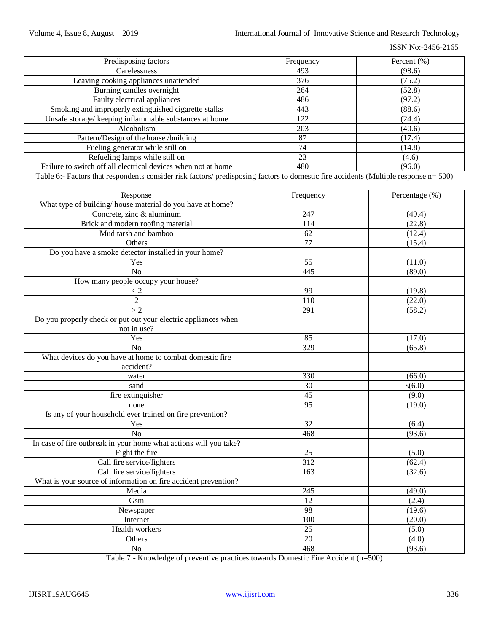ISSN No:-2456-2165

| Predisposing factors                                          | Frequency | Percent $(\% )$ |
|---------------------------------------------------------------|-----------|-----------------|
| Carelessness                                                  | 493       | (98.6)          |
| Leaving cooking appliances unattended                         | 376       | (75.2)          |
| Burning candles overnight                                     | 264       | (52.8)          |
| Faulty electrical appliances                                  | 486       | (97.2)          |
| Smoking and improperly extinguished cigarette stalks          | 443       | (88.6)          |
| Unsafe storage/keeping inflammable substances at home         | 122       | (24.4)          |
| Alcoholism                                                    | 203       | (40.6)          |
| Pattern/Design of the house /building                         | 87        | (17.4)          |
| Fueling generator while still on                              | 74        | (14.8)          |
| Refueling lamps while still on                                | 23        | (4.6)           |
| Failure to switch off all electrical devices when not at home | 480       | (96.0)          |

Table 6:- Factors that respondents consider risk factors/ predisposing factors to domestic fire accidents (Multiple response n= 500)

| Response                                                          | Frequency | Percentage (%) |
|-------------------------------------------------------------------|-----------|----------------|
| What type of building/ house material do you have at home?        |           |                |
| Concrete, zinc & aluminum                                         | 247       | (49.4)         |
| Brick and modern roofing material                                 | 114       | (22.8)         |
| Mud tarsh and bamboo                                              | 62        | (12.4)         |
| Others                                                            | 77        | (15.4)         |
| Do you have a smoke detector installed in your home?              |           |                |
| Yes                                                               | 55        | (11.0)         |
| $\overline{No}$                                                   | 445       | (89.0)         |
| How many people occupy your house?                                |           |                |
| < 2                                                               | 99        | (19.8)         |
| $\overline{2}$                                                    | 110       | (22.0)         |
| >2                                                                | 291       | (58.2)         |
| Do you properly check or put out your electric appliances when    |           |                |
| not in use?                                                       |           |                |
| Yes                                                               | 85        | (17.0)         |
| N <sub>o</sub>                                                    | 329       | (65.8)         |
| What devices do you have at home to combat domestic fire          |           |                |
| accident?                                                         |           |                |
| water                                                             | 330       | (66.0)         |
| sand                                                              | 30        | $\sqrt{(6.0)}$ |
| fire extinguisher                                                 | 45        | (9.0)          |
| none                                                              | 95        | (19.0)         |
| Is any of your household ever trained on fire prevention?         |           |                |
| Yes                                                               | 32        | (6.4)          |
| No                                                                | 468       | (93.6)         |
| In case of fire outbreak in your home what actions will you take? |           |                |
| Fight the fire                                                    | 25        | (5.0)          |
| Call fire service/fighters                                        | 312       | (62.4)         |
| Call fire service/fighters                                        | 163       | (32.6)         |
| What is your source of information on fire accident prevention?   |           |                |
| Media                                                             | 245       | (49.0)         |
| Gsm                                                               | 12        | (2.4)          |
| Newspaper                                                         | 98        | (19.6)         |
| Internet                                                          | 100       | (20.0)         |
| Health workers                                                    | 25        | (5.0)          |
| Others                                                            | 20        | (4.0)          |
| N <sub>o</sub>                                                    | 468       | (93.6)         |

Table 7:- Knowledge of preventive practices towards Domestic Fire Accident (n=500)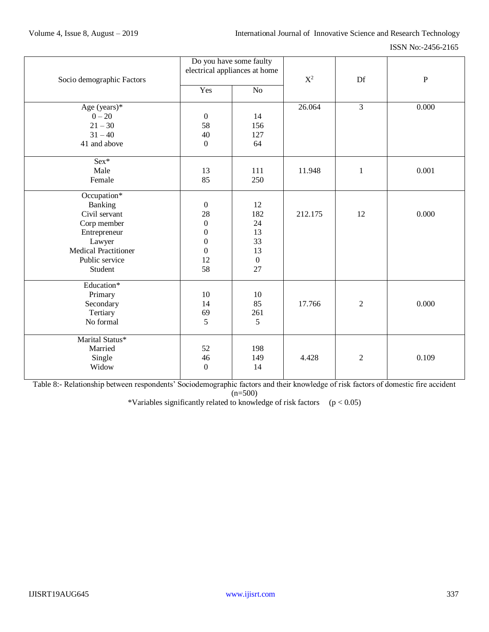ISSN No:-2456-2165

|                             | Do you have some faulty       |                  |                |                |           |
|-----------------------------|-------------------------------|------------------|----------------|----------------|-----------|
|                             | electrical appliances at home |                  | $\mathbf{X}^2$ |                |           |
| Socio demographic Factors   |                               |                  |                | Df             | ${\bf P}$ |
|                             | Yes                           | No               |                |                |           |
| Age (years)*                |                               |                  | 26.064         | 3              | 0.000     |
| $0 - 20$                    | $\boldsymbol{0}$              | 14               |                |                |           |
| $21 - 30$                   | 58                            | 156              |                |                |           |
| $31 - 40$                   | 40                            | 127              |                |                |           |
| 41 and above                | $\boldsymbol{0}$              | 64               |                |                |           |
| $Sex*$                      |                               |                  |                |                |           |
| Male                        | 13                            | 111              | 11.948         | $\mathbf{1}$   | 0.001     |
| Female                      | 85                            | 250              |                |                |           |
| Occupation*                 |                               |                  |                |                |           |
| Banking                     | $\boldsymbol{0}$              | 12               |                |                |           |
| Civil servant               | 28                            | 182              | 212.175        | 12             | 0.000     |
| Corp member                 | $\boldsymbol{0}$              | 24               |                |                |           |
| Entrepreneur                | $\boldsymbol{0}$              | 13               |                |                |           |
| Lawyer                      | $\boldsymbol{0}$              | 33               |                |                |           |
| <b>Medical Practitioner</b> | $\boldsymbol{0}$              | 13               |                |                |           |
| Public service              | 12                            | $\boldsymbol{0}$ |                |                |           |
| Student                     | 58                            | 27               |                |                |           |
| Education*                  |                               |                  |                |                |           |
| Primary                     | 10                            | 10               |                |                |           |
| Secondary                   | 14                            | 85               | 17.766         | $\overline{2}$ | 0.000     |
| Tertiary                    | 69                            | 261              |                |                |           |
| No formal                   | 5                             | 5                |                |                |           |
| Marital Status*             |                               |                  |                |                |           |
| Married                     | 52                            | 198              |                |                |           |
| Single                      | 46                            | 149              | 4.428          | $\overline{2}$ | 0.109     |
| Widow                       | $\mathbf{0}$                  | 14               |                |                |           |
|                             |                               |                  |                |                |           |

Table 8:- Relationship between respondents' Sociodemographic factors and their knowledge of risk factors of domestic fire accident  $(n=500)$ 

\*Variables significantly related to knowledge of risk factors  $(p < 0.05)$